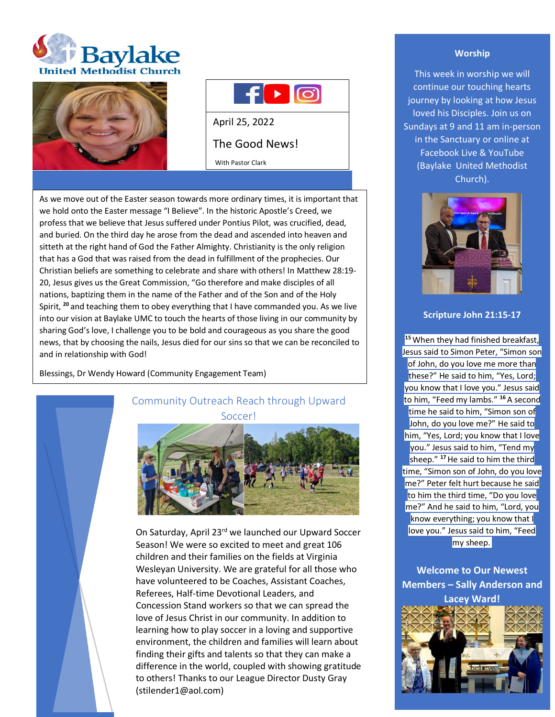





April 25, 2022

# The Good News!

With Pastor Clark

As we move out of the Easter season towards more ordinary times, it is important that we hold onto the Easter message "I Believe". In the historic Apostle's Creed, we profess that we believe that Jesus suffered under Pontius Pilot, was crucified, dead, and buried. On the third day he arose from the dead and ascended into heaven and sitteth at the right hand of God the Father Almighty. Christianity is the only religion that has a God that was raised from the dead in fulfillment of the prophecies. Our Christian beliefs are something to celebrate and share with others! In Matthew 28:19- 20, Jesus gives us the Great Commission, "Go therefore and make disciples of all nations, baptizing them in the name of the Father and of the Son and of the Holy Spirit, **<sup>20</sup>** and teaching them to obey everything that I have commanded you. As we live into our vision at Baylake UMC to touch the hearts of those living in our community by sharing God's love, I challenge you to be bold and courageous as you share the good news, that by choosing the nails, Jesus died for our sins so that we can be reconciled to and in relationship with God!

Blessings, Dr Wendy Howard (Community Engagement Team)

# Community Outreach Reach through Upward Soccer!



On Saturday, April 23rd we launched our Upward Soccer Season! We were so excited to meet and great 106 children and their families on the fields at Virginia Wesleyan University. We are grateful for all those who have volunteered to be Coaches, Assistant Coaches, Referees, Half-time Devotional Leaders, and Concession Stand workers so that we can spread the love of Jesus Christ in our community. In addition to learning how to play soccer in a loving and supportive environment, the children and families will learn about finding their gifts and talents so that they can make a difference in the world, coupled with showing gratitude to others! Thanks to our League Director Dusty Gray (stilender1@aol.com)

## **Worship**

This week in worship we will continue our touching hearts journey by looking at how Jesus loved his Disciples. Join us on Sundays at 9 and 11 am in-person in the Sanctuary or online at Facebook Live & YouTube (Baylake United Methodist Church).



#### **Scripture John 21:15-17**

**<sup>15</sup>** When they had finished breakfast, Jesus said to Simon Peter, "Simon son of John, do you love me more than these?" He said to him, "Yes, Lord; you know that I love you." Jesus said to him, "Feed my lambs." **<sup>16</sup>** A second time he said to him, "Simon son of John, do you love me?" He said to him, "Yes, Lord; you know that I love you." Jesus said to him, "Tend my sheep."<sup>17</sup> He said to him the third time, "Simon son of John, do you love me?" Peter felt hurt because he said to him the third time, "Do you love me?" And he said to him, "Lord, you know everything; you know that I love you." Jesus said to him, "Feed my sheep.

**Welcome to Our Newest Members – Sally Anderson and Lacey Ward!**